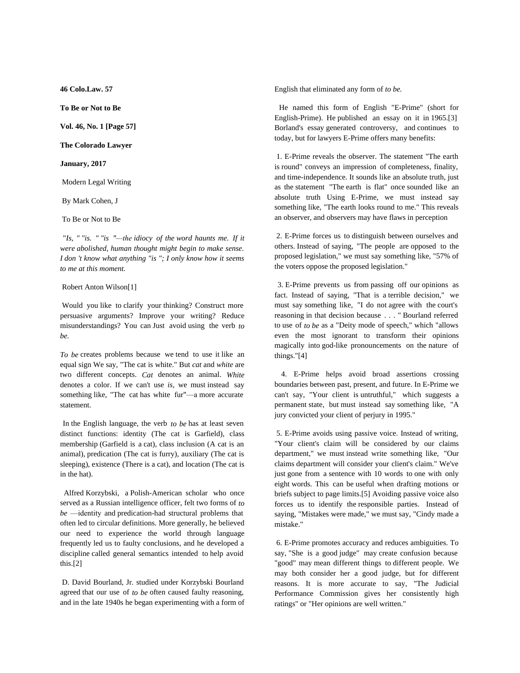**46 Colo.Law. 57**

**To Be or Not to Be**

**Vol. 46, No. 1 [Page 57]**

**The Colorado Lawyer**

**January, 2017**

Modern Legal Writing

By Mark Cohen, J

To Be or Not to Be

"Is, " "is. " "is "—the idiocy of the word haunts me. If it *were abolished, human thought might begin to make sense. I don 't know what anything "is "; I only know how it seems to me at this moment.*

## Robert Anton Wilson[1]

 Would you like to clarify your thinking? Construct more persuasive arguments? Improve your writing? Reduce misunderstandings? You can Just avoid using the verb *to be.*

*To be* creates problems because we tend to use it like an equal sign We say, "The cat is white." But *cat* and *white* are two different concepts. *Cat* denotes an animal. *White* denotes a color. If we can't use *is,* we must instead say something like, "The cat has white fur"-a more accurate statement.

In the English language, the verb *to be* has at least seven distinct functions: identity (The cat is Garfield), class membership (Garfield is a cat), class inclusion (A cat is an animal), predication (The cat is furry), auxiliary (The cat is sleeping), existence (There is a cat), and location (The cat is in the hat).

Alfred Korzybski, a Polish-American scholar who once served as a Russian intelligence officer, felt two forms of *to*  $be$   $\rightarrow$  identity and predication-had structural problems that often led to circular definitions. More generally, he believed our need to experience the world through language frequently led us to faulty conclusions, and he developed a discipline called general semantics intended to help avoid this.[2]

 D. David Bourland, Jr. studied under Korzybski Bourland agreed that our use of *to be* often caused faulty reasoning, and in the late 1940s he began experimenting with a form of English that eliminated any form of *to be.*

He named this form of English "E-Prime" (short for English-Prime). He published an essay on it in 1965.[3] Borland's essay generated controversy, and continues to today, but for lawyers E-Prime offers many benefits:

 1. E-Prime reveals the observer. The statement "The earth is round" conveys an impression of completeness, finality, and time-independence. It sounds like an absolute truth, just as the statement "The earth is flat" once sounded like an absolute truth Using E-Prime, we must instead say something like, "The earth looks round to me." This reveals an observer, and observers may have flaws in perception

 2. E-Prime forces us to distinguish between ourselves and others. Instead of saying, "The people are opposed to the proposed legislation," we must say something like, "57% of the voters oppose the proposed legislation."

3. E-Prime prevents us from passing off our opinions as fact. Instead of saying, "That is a terrible decision," we must say something like, "I do not agree with the court's reasoning in that decision because . . . " Bourland referred to use of *to be* as a "Deity mode of speech," which "allows even the most ignorant to transform their opinions magically into god-like pronouncements on the nature of things."[4]

4. E-Prime helps avoid broad assertions crossing boundaries between past, present, and future. In E-Prime we can't say, "Your client is untruthful," which suggests a permanent state, but must instead say something like, "A jury convicted your client of perjury in 1995."

 5. E-Prime avoids using passive voice. Instead of writing, "Your client's claim will be considered by our claims department," we must instead write something like, "Our claims department will consider your client's claim." We've just gone from a sentence with 10 words to one with only eight words. This can be useful when drafting motions or briefs subject to page limits.[5] Avoiding passive voice also forces us to identify the responsible parties. Instead of saying, "Mistakes were made," we must say, "Cindy made a mistake."

 6. E-Prime promotes accuracy and reduces ambiguities. To say, "She is a good judge" may create confusion because "good" may mean different things to different people. We may both consider her a good judge, but for different reasons. It is more accurate to say, "The Judicial Performance Commission gives her consistently high ratings" or "Her opinions are well written."